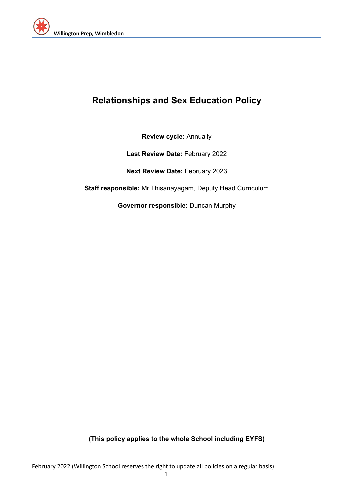

# **Relationships and Sex Education Policy**

**Review cycle:** Annually

**Last Review Date:** February 2022

**Next Review Date:** February 2023

**Staff responsible:** Mr Thisanayagam, Deputy Head Curriculum

**Governor responsible:** Duncan Murphy

**(This policy applies to the whole School including EYFS)**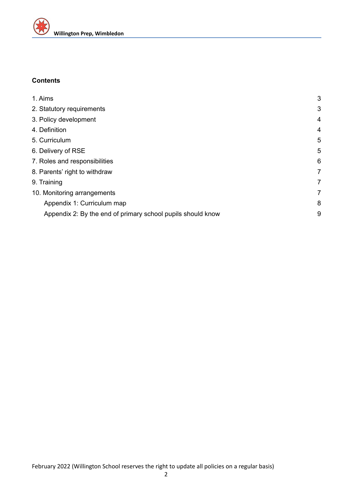

## **Contents**

| 3 |
|---|
| 3 |
| 4 |
| 4 |
| 5 |
| 5 |
| 6 |
| 7 |
| 7 |
| 7 |
| 8 |
| 9 |
|   |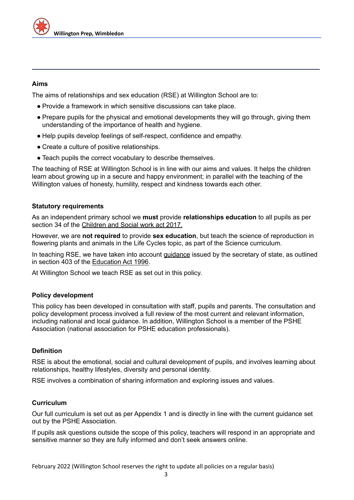## <span id="page-2-0"></span>**Aims**

The aims of relationships and sex education (RSE) at Willington School are to:

- Provide a framework in which sensitive discussions can take place.
- Prepare pupils for the physical and emotional developments they will go through, giving them understanding of the importance of health and hygiene.
- Help pupils develop feelings of self-respect, confidence and empathy.
- Create a culture of positive relationships.
- Teach pupils the correct vocabulary to describe themselves.

The teaching of RSE at Willington School is in line with our aims and values. It helps the children learn about growing up in a secure and happy environment; in parallel with the teaching of the Willington values of honesty, humility, respect and kindness towards each other.

#### <span id="page-2-1"></span>**Statutory requirements**

As an independent primary school we **must** provide **relationships education** to all pupils as per section 34 of the [Children](http://www.legislation.gov.uk/ukpga/2017/16/section/34/enacted) and Social work act 2017.

However, we are **not required** to provide **sex education**, but teach the science of reproduction in flowering plants and animals in the Life Cycles topic, as part of the Science curriculum.

In teaching RSE, we have taken into account [guidance](https://www.gov.uk/government/consultations/relationships-and-sex-education-and-health-education) issued by the secretary of state, as outlined in section 403 of the **[Education](http://www.legislation.gov.uk/ukpga/1996/56/contents) Act 1996**.

At Willington School we teach RSE as set out in this policy.

## **Policy development**

This policy has been developed in consultation with staff, pupils and parents. The consultation and policy development process involved a full review of the most current and relevant information, including national and local guidance. In addition, Willington School is a member of the PSHE Association (national association for PSHE education professionals).

## **Definition**

RSE is about the emotional, social and cultural development of pupils, and involves learning about relationships, healthy lifestyles, diversity and personal identity.

<span id="page-2-2"></span>RSE involves a combination of sharing information and exploring issues and values.

#### **Curriculum**

Our full curriculum is set out as per Appendix 1 and is directly in line with the current guidance set out by the PSHE Association.

If pupils ask questions outside the scope of this policy, teachers will respond in an appropriate and sensitive manner so they are fully informed and don't seek answers online.

February 2022 (Willington School reserves the right to update all policies on a regular basis)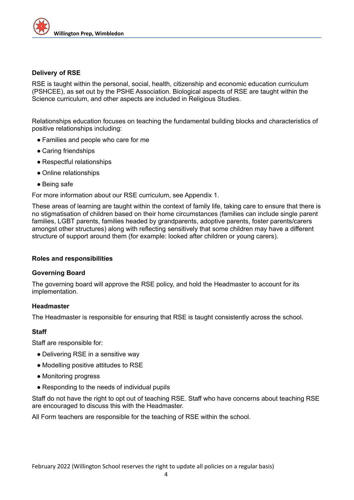

#### **Delivery of RSE**

RSE is taught within the personal, social, health, citizenship and economic education curriculum (PSHCEE), as set out by the PSHE Association. Biological aspects of RSE are taught within the Science curriculum, and other aspects are included in Religious Studies.

Relationships education focuses on teaching the fundamental building blocks and characteristics of positive relationships including:

- Families and people who care for me
- Caring friendships
- Respectful relationships
- Online relationships
- Being safe

For more information about our RSE curriculum, see Appendix 1.

These areas of learning are taught within the context of family life, taking care to ensure that there is no stigmatisation of children based on their home circumstances (families can include single parent families, LGBT parents, families headed by grandparents, adoptive parents, foster parents/carers amongst other structures) along with reflecting sensitively that some children may have a different structure of support around them (for example: looked after children or young carers).

#### <span id="page-3-0"></span>**Roles and responsibilities**

#### **Governing Board**

The governing board will approve the RSE policy, and hold the Headmaster to account for its implementation.

#### **Headmaster**

The Headmaster is responsible for ensuring that RSE is taught consistently across the school.

## **Staff**

Staff are responsible for:

- Delivering RSE in a sensitive way
- Modelling positive attitudes to RSE
- Monitoring progress
- Responding to the needs of individual pupils

Staff do not have the right to opt out of teaching RSE. Staff who have concerns about teaching RSE are encouraged to discuss this with the Headmaster.

All Form teachers are responsible for the teaching of RSE within the school.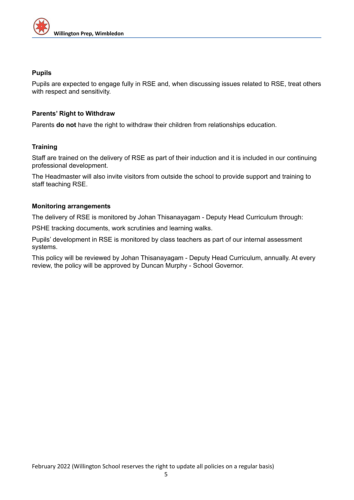

## **Pupils**

Pupils are expected to engage fully in RSE and, when discussing issues related to RSE, treat others with respect and sensitivity.

## <span id="page-4-0"></span>**Parents' Right to Withdraw**

Parents **do not** have the right to withdraw their children from relationships education.

## **Training**

Staff are trained on the delivery of RSE as part of their induction and it is included in our continuing professional development.

The Headmaster will also invite visitors from outside the school to provide support and training to staff teaching RSE.

## <span id="page-4-1"></span>**Monitoring arrangements**

The delivery of RSE is monitored by Johan Thisanayagam - Deputy Head Curriculum through:

PSHE tracking documents, work scrutinies and learning walks.

Pupils' development in RSE is monitored by class teachers as part of our internal assessment systems.

This policy will be reviewed by Johan Thisanayagam - Deputy Head Curriculum, annually. At every review, the policy will be approved by Duncan Murphy - School Governor.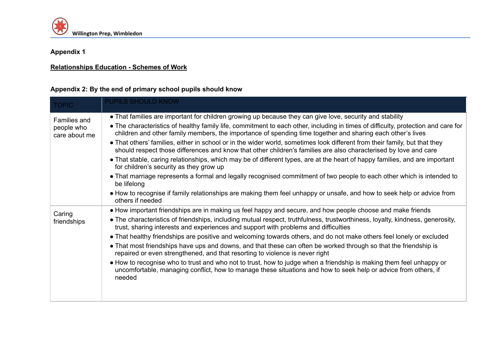

## **Appendix 1**

## **[Relationships](https://app.luminpdf.com/viewer/61e0092bed5649001923103c) Education - Schemes of Work**

## **Appendix 2: By the end of primary school pupils should know**

| <b>TOPIC</b>                                       | <b>PUPILS SHOULD KNOW</b>                                                                                                                                                                                                                        |
|----------------------------------------------------|--------------------------------------------------------------------------------------------------------------------------------------------------------------------------------------------------------------------------------------------------|
| <b>Families and</b><br>people who<br>care about me | • That families are important for children growing up because they can give love, security and stability                                                                                                                                         |
|                                                    | • The characteristics of healthy family life, commitment to each other, including in times of difficulty, protection and care for<br>children and other family members, the importance of spending time together and sharing each other's lives  |
|                                                    | • That others' families, either in school or in the wider world, sometimes look different from their family, but that they<br>should respect those differences and know that other children's families are also characterised by love and care   |
|                                                    | • That stable, caring relationships, which may be of different types, are at the heart of happy families, and are important<br>for children's security as they grow up                                                                           |
|                                                    | • That marriage represents a formal and legally recognised commitment of two people to each other which is intended to<br>be lifelong                                                                                                            |
|                                                    | • How to recognise if family relationships are making them feel unhappy or unsafe, and how to seek help or advice from<br>others if needed                                                                                                       |
| Caring<br>friendships                              | • How important friendships are in making us feel happy and secure, and how people choose and make friends                                                                                                                                       |
|                                                    | • The characteristics of friendships, including mutual respect, truthfulness, trustworthiness, loyalty, kindness, generosity,<br>trust, sharing interests and experiences and support with problems and difficulties                             |
|                                                    | • That healthy friendships are positive and welcoming towards others, and do not make others feel lonely or excluded                                                                                                                             |
|                                                    | • That most friendships have ups and downs, and that these can often be worked through so that the friendship is<br>repaired or even strengthened, and that resorting to violence is never right                                                 |
|                                                    | • How to recognise who to trust and who not to trust, how to judge when a friendship is making them feel unhappy or<br>uncomfortable, managing conflict, how to manage these situations and how to seek help or advice from others, if<br>needed |
|                                                    |                                                                                                                                                                                                                                                  |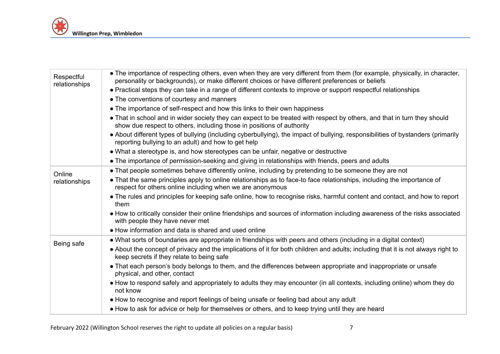| Respectful<br>relationships | • The importance of respecting others, even when they are very different from them (for example, physically, in character,<br>personality or backgrounds), or make different choices or have different preferences or beliefs |
|-----------------------------|-------------------------------------------------------------------------------------------------------------------------------------------------------------------------------------------------------------------------------|
|                             | • Practical steps they can take in a range of different contexts to improve or support respectful relationships                                                                                                               |
|                             | • The conventions of courtesy and manners                                                                                                                                                                                     |
|                             | • The importance of self-respect and how this links to their own happiness                                                                                                                                                    |
|                             | • That in school and in wider society they can expect to be treated with respect by others, and that in turn they should<br>show due respect to others, including those in positions of authority                             |
|                             | • About different types of bullying (including cyberbullying), the impact of bullying, responsibilities of bystanders (primarily<br>reporting bullying to an adult) and how to get help                                       |
|                             | • What a stereotype is, and how stereotypes can be unfair, negative or destructive                                                                                                                                            |
|                             | • The importance of permission-seeking and giving in relationships with friends, peers and adults                                                                                                                             |
| Online<br>relationships     | • That people sometimes behave differently online, including by pretending to be someone they are not                                                                                                                         |
|                             | • That the same principles apply to online relationships as to face-to face relationships, including the importance of<br>respect for others online including when we are anonymous                                           |
|                             | • The rules and principles for keeping safe online, how to recognise risks, harmful content and contact, and how to report<br>them                                                                                            |
|                             | • How to critically consider their online friendships and sources of information including awareness of the risks associated<br>with people they have never met                                                               |
|                             | • How information and data is shared and used online                                                                                                                                                                          |
| Being safe                  | • What sorts of boundaries are appropriate in friendships with peers and others (including in a digital context)                                                                                                              |
|                             | • About the concept of privacy and the implications of it for both children and adults; including that it is not always right to<br>keep secrets if they relate to being safe                                                 |
|                             | • That each person's body belongs to them, and the differences between appropriate and inappropriate or unsafe<br>physical, and other, contact                                                                                |
|                             | • How to respond safely and appropriately to adults they may encounter (in all contexts, including online) whom they do<br>not know                                                                                           |
|                             | • How to recognise and report feelings of being unsafe or feeling bad about any adult                                                                                                                                         |
|                             | • How to ask for advice or help for themselves or others, and to keep trying until they are heard                                                                                                                             |